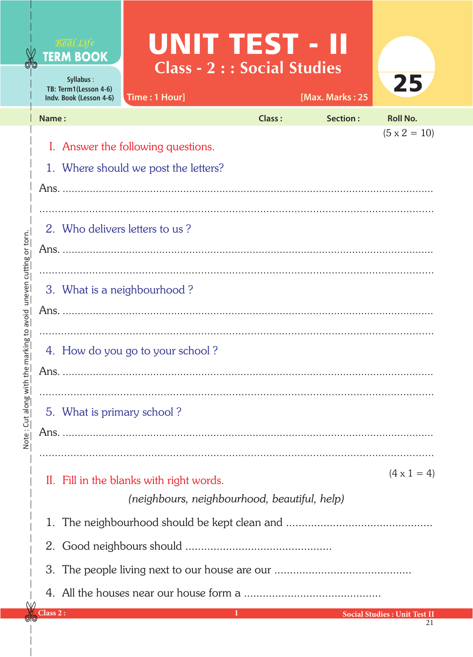## **UNIT TEST - II** Class - 2 : : Social Studies

| Jynapus.<br>TB: Term1(Lesson 4-6)<br>Indv. Book (Lesson 4-6) | Time : 1 Hour]                                                                                                                  |        | [Max. Marks: 25                                            |                     |
|--------------------------------------------------------------|---------------------------------------------------------------------------------------------------------------------------------|--------|------------------------------------------------------------|---------------------|
| Name:                                                        |                                                                                                                                 | Class: | Section:                                                   | <b>Roll No.</b>     |
|                                                              | I. Answer the following questions.<br>1. Where should we post the letters?                                                      |        |                                                            | $(5 \times 2 = 10)$ |
|                                                              |                                                                                                                                 |        |                                                            |                     |
| 2. Who delivers letters to us?                               |                                                                                                                                 |        |                                                            |                     |
| 3. What is a neighbourhood?                                  |                                                                                                                                 |        |                                                            |                     |
|                                                              |                                                                                                                                 |        |                                                            |                     |
|                                                              | 4. How do you go to your school?                                                                                                |        |                                                            |                     |
| 5. What is primary school?                                   |                                                                                                                                 |        |                                                            |                     |
|                                                              |                                                                                                                                 |        |                                                            |                     |
|                                                              |                                                                                                                                 |        |                                                            |                     |
|                                                              | II. Fill in the blanks with right words.<br>(neighbours, neighbourhood, beautiful, help)                                        |        |                                                            | $(4 \times 1 = 4)$  |
| 1.                                                           |                                                                                                                                 |        |                                                            |                     |
|                                                              |                                                                                                                                 |        |                                                            |                     |
|                                                              |                                                                                                                                 |        |                                                            |                     |
|                                                              | $\mathcal{L}^{\text{max}}_{\text{max}}$ and $\mathcal{L}^{\text{max}}_{\text{max}}$ and $\mathcal{L}^{\text{max}}_{\text{max}}$ |        | <b>Control Control Control Central Constitute Track II</b> |                     |

∿

**TERM BOOK**